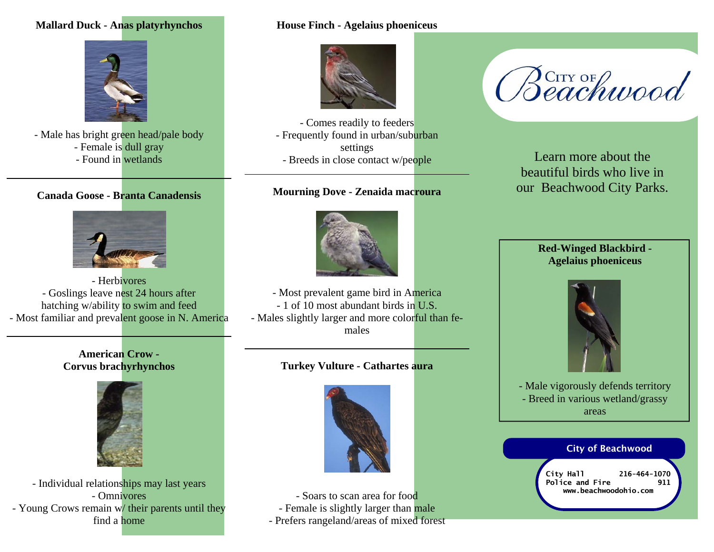# **Mallard Duck - Anas platyrhynchos**



- Male has bright green head/pale body - Female is dull gray - Found in wetlands

## **Canada Goose - Branta Canadensis**



- Herbivores - Goslings leave nest 24 hours after hatching w/ability to swim and feed - Most familiar and prevalent goose in N. America

#### **American Crow - Corvus brachyrhynchos**



- Individual relationships may last years - Omnivores - Young Crows remain w/ their parents until they find a home

#### **House Finch - Agelaius phoeniceus**



- Comes readily to feeders - Frequently found in urban/suburban settings - Breeds in close contact w/people

#### **Mourning Dove - Zenaida macroura**



- Most prevalent game bird in America - 1 of 10 most abundant birds in U.S. - Males slightly larger and more colorful than females

# **Turkey Vulture - Cathartes aura**



- Soars to scan area for food - Female is slightly larger than male - Prefers rangeland/areas of mixed forest

# Beachwood

Learn more about the beautiful birds who live in our Beachwood City Parks.

## **Red-Winged Blackbird - Agelaius phoeniceus**



- Male vigorously defends territory - Breed in various wetland/grassy areas

#### City of Beachwood

**City Hall 216-464-1070**  Police and Fire 911 **www.beachwoodohio.com**